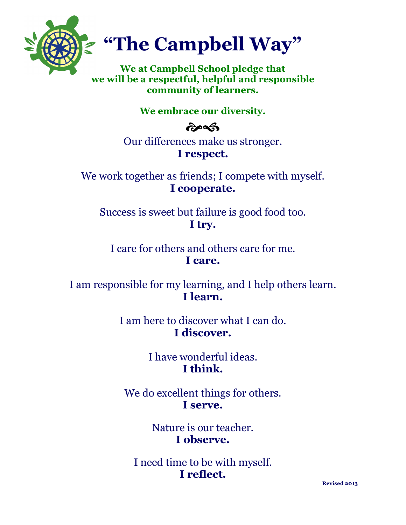

## **"The Campbell Way"**

**We at Campbell School pledge that we will be a respectful, helpful and responsible community of learners.**

## **We embrace our diversity.**

## **post**

Our differences make us stronger. **I respect.**

We work together as friends; I compete with myself. **I cooperate.**

Success is sweet but failure is good food too. **I try.**

I care for others and others care for me. **I care.**

I am responsible for my learning, and I help others learn. **I learn.**

> I am here to discover what I can do. **I discover.**

> > I have wonderful ideas. **I think.**

We do excellent things for others. **I serve.**

> Nature is our teacher. **I observe.**

I need time to be with myself. **I reflect.**

**Revised 2013**